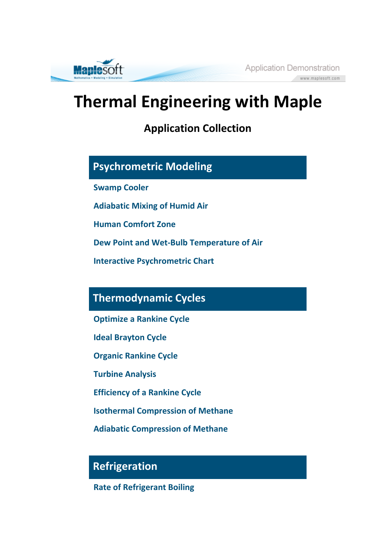**Application Demonstration** www.maplesoft.com



**Application Collection**

## **Psychrometric Modeling**

**Swamp Cooler**

**Maplesoft** 

**Adiabatic Mixing of Humid Air**

**Human Comfort Zone**

**Dew Point and Wet-Bulb Temperature of Air**

**Interactive Psychrometric Chart**

#### **Thermodynamic Cycles**

**Optimize a Rankine Cycle**

**Ideal Brayton Cycle**

**Organic Rankine Cycle**

**Turbine Analysis**

**Efficiency of a Rankine Cycle**

**Isothermal Compression of Methane**

**Adiabatic Compression of Methane**

# **Refrigeration**

**Rate of Refrigerant Boiling**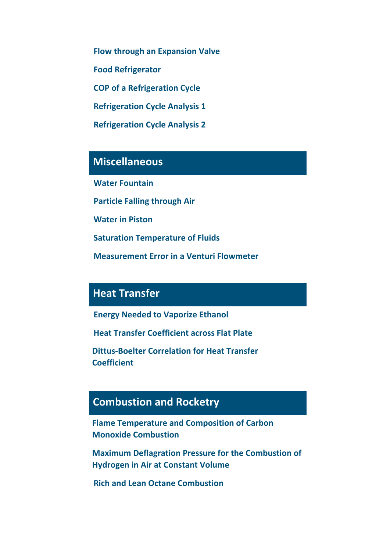**Flow through an Expansion Valve Food Refrigerator COP of a Refrigeration Cycle Refrigeration Cycle Analysis 1 Refrigeration Cycle Analysis 2**

**Miscellaneous**

**Water Fountain**

**Particle Falling through Air**

**Water in Piston**

**Saturation Temperature of Fluids**

**Measurement Error in a Venturi Flowmeter**

### **Heat Transfer**

**Energy Needed to Vaporize Ethanol**

**Heat Transfer Coefficient across Flat Plate**

**Dittus-Boelter Correlation for Heat Transfer Coefficient**

# **Combustion and Rocketry**

**Flame Temperature and Composition of Carbon Monoxide Combustion**

**Maximum Deflagration Pressure for the Combustion of Hydrogen in Air at Constant Volume**

**Rich and Lean Octane Combustion**